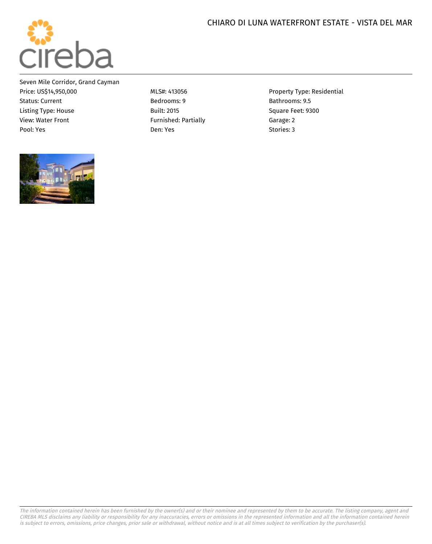## CHIARO DI LUNA WATERFRONT ESTATE - VISTA DEL MAR



Seven Mile Corridor, Grand Cayman Price: US\$14,950,000 MLS#: 413056 Property Type: Residential Status: Current **Bedrooms: 9 Bathrooms: 9.5** Bathrooms: 9.5 Listing Type: House Built: 2015 Square Feet: 9300 View: Water Front Transford: Partially Furnished: Partially Furnished: 2 Garage: 2 Pool: Yes Stories: 3 (1990) Den: Yes Stories: 3 (1991) Den: Yes Stories: 3 (1991) Den: Yes Stories: 3 (1991) Den: Yes Stories: 3 (1992) Den: Yes Stories: 3 (1992) Den: Yes Stories: 3 (1992) Den: Yes Stories: 3 (1992) Den:





The information contained herein has been furnished by the owner(s) and or their nominee and represented by them to be accurate. The listing company, agent and CIREBA MLS disclaims any liability or responsibility for any inaccuracies, errors or omissions in the represented information and all the information contained herein is subject to errors, omissions, price changes, prior sale or withdrawal, without notice and is at all times subject to verification by the purchaser(s).